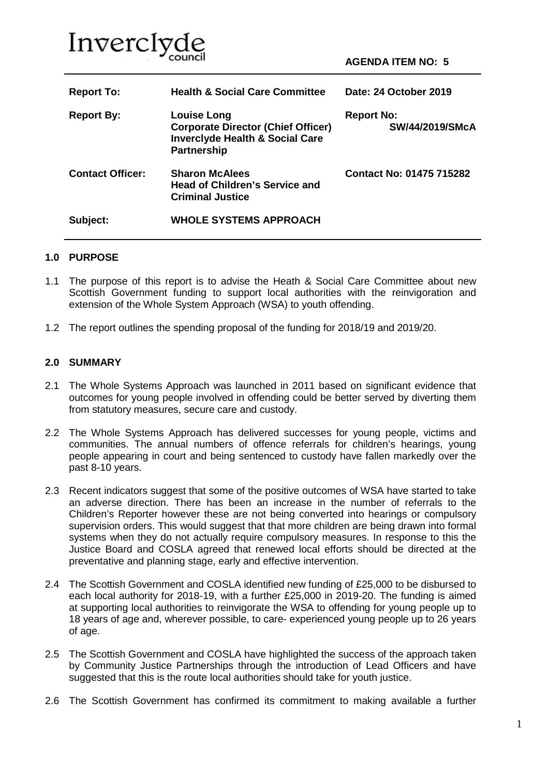

| <b>Report To:</b>       | <b>Health &amp; Social Care Committee</b>                                                                                           | Date: 24 October 2019                       |
|-------------------------|-------------------------------------------------------------------------------------------------------------------------------------|---------------------------------------------|
| <b>Report By:</b>       | <b>Louise Long</b><br><b>Corporate Director (Chief Officer)</b><br><b>Inverclyde Health &amp; Social Care</b><br><b>Partnership</b> | <b>Report No:</b><br><b>SW/44/2019/SMcA</b> |
| <b>Contact Officer:</b> | <b>Sharon McAlees</b><br><b>Head of Children's Service and</b><br><b>Criminal Justice</b>                                           | <b>Contact No: 01475 715282</b>             |
| Subject:                | <b>WHOLE SYSTEMS APPROACH</b>                                                                                                       |                                             |

#### **1.0 PURPOSE**

- 1.1 The purpose of this report is to advise the Heath & Social Care Committee about new Scottish Government funding to support local authorities with the reinvigoration and extension of the Whole System Approach (WSA) to youth offending.
- 1.2 The report outlines the spending proposal of the funding for 2018/19 and 2019/20.

#### **2.0 SUMMARY**

- 2.1 The Whole Systems Approach was launched in 2011 based on significant evidence that outcomes for young people involved in offending could be better served by diverting them from statutory measures, secure care and custody.
- 2.2 The Whole Systems Approach has delivered successes for young people, victims and communities. The annual numbers of offence referrals for children's hearings, young people appearing in court and being sentenced to custody have fallen markedly over the past 8-10 years.
- 2.3 Recent indicators suggest that some of the positive outcomes of WSA have started to take an adverse direction. There has been an increase in the number of referrals to the Children's Reporter however these are not being converted into hearings or compulsory supervision orders. This would suggest that that more children are being drawn into formal systems when they do not actually require compulsory measures. In response to this the Justice Board and COSLA agreed that renewed local efforts should be directed at the preventative and planning stage, early and effective intervention.
- 2.4 The Scottish Government and COSLA identified new funding of £25,000 to be disbursed to each local authority for 2018-19, with a further £25,000 in 2019-20. The funding is aimed at supporting local authorities to reinvigorate the WSA to offending for young people up to 18 years of age and, wherever possible, to care- experienced young people up to 26 years of age.
- 2.5 The Scottish Government and COSLA have highlighted the success of the approach taken by Community Justice Partnerships through the introduction of Lead Officers and have suggested that this is the route local authorities should take for youth justice.
- 2.6 The Scottish Government has confirmed its commitment to making available a further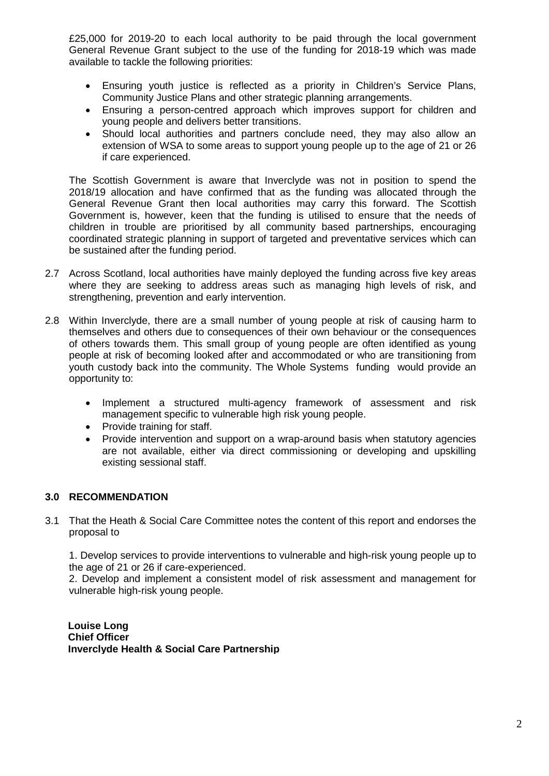£25,000 for 2019-20 to each local authority to be paid through the local government General Revenue Grant subject to the use of the funding for 2018-19 which was made available to tackle the following priorities:

- Ensuring youth justice is reflected as a priority in Children's Service Plans, Community Justice Plans and other strategic planning arrangements.
- Ensuring a person-centred approach which improves support for children and young people and delivers better transitions.
- Should local authorities and partners conclude need, they may also allow an extension of WSA to some areas to support young people up to the age of 21 or 26 if care experienced.

The Scottish Government is aware that Inverclyde was not in position to spend the 2018/19 allocation and have confirmed that as the funding was allocated through the General Revenue Grant then local authorities may carry this forward. The Scottish Government is, however, keen that the funding is utilised to ensure that the needs of children in trouble are prioritised by all community based partnerships, encouraging coordinated strategic planning in support of targeted and preventative services which can be sustained after the funding period.

- 2.7 Across Scotland, local authorities have mainly deployed the funding across five key areas where they are seeking to address areas such as managing high levels of risk, and strengthening, prevention and early intervention.
- 2.8 Within Inverclyde, there are a small number of young people at risk of causing harm to themselves and others due to consequences of their own behaviour or the consequences of others towards them. This small group of young people are often identified as young people at risk of becoming looked after and accommodated or who are transitioning from youth custody back into the community. The Whole Systems funding would provide an opportunity to:
	- Implement a structured multi-agency framework of assessment and risk management specific to vulnerable high risk young people.
	- Provide training for staff.
	- Provide intervention and support on a wrap-around basis when statutory agencies are not available, either via direct commissioning or developing and upskilling existing sessional staff.

## **3.0 RECOMMENDATION**

3.1 That the Heath & Social Care Committee notes the content of this report and endorses the proposal to

1. Develop services to provide interventions to vulnerable and high-risk young people up to the age of 21 or 26 if care-experienced.

2. Develop and implement a consistent model of risk assessment and management for vulnerable high-risk young people.

**Louise Long Chief Officer Inverclyde Health & Social Care Partnership**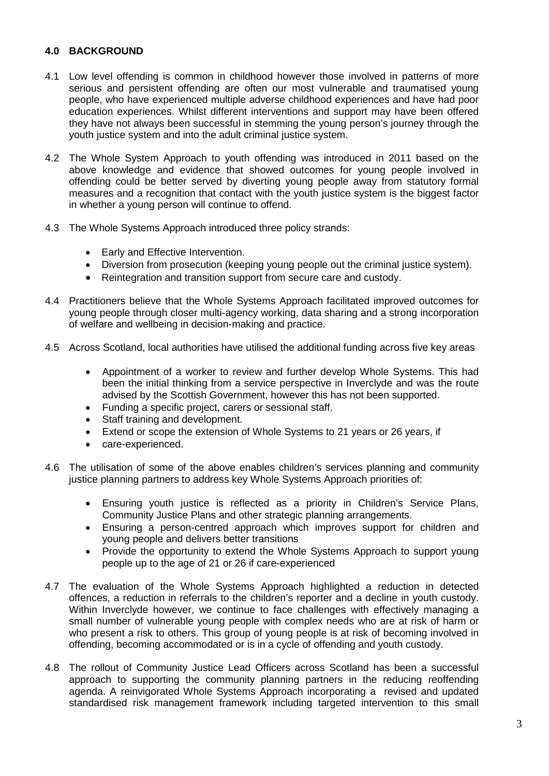### **4.0 BACKGROUND**

- 4.1 Low level offending is common in childhood however those involved in patterns of more serious and persistent offending are often our most vulnerable and traumatised young people, who have experienced multiple adverse childhood experiences and have had poor education experiences. Whilst different interventions and support may have been offered they have not always been successful in stemming the young person's journey through the youth justice system and into the adult criminal justice system.
- 4.2 The Whole System Approach to youth offending was introduced in 2011 based on the above knowledge and evidence that showed outcomes for young people involved in offending could be better served by diverting young people away from statutory formal measures and a recognition that contact with the youth justice system is the biggest factor in whether a young person will continue to offend.
- 4.3 The Whole Systems Approach introduced three policy strands:
	- Early and Effective Intervention.
	- Diversion from prosecution (keeping young people out the criminal justice system).
	- Reintegration and transition support from secure care and custody.
- 4.4 Practitioners believe that the Whole Systems Approach facilitated improved outcomes for young people through closer multi-agency working, data sharing and a strong incorporation of welfare and wellbeing in decision-making and practice.
- 4.5 Across Scotland, local authorities have utilised the additional funding across five key areas
	- Appointment of a worker to review and further develop Whole Systems. This had been the initial thinking from a service perspective in Inverclyde and was the route advised by the Scottish Government, however this has not been supported.
	- Funding a specific project, carers or sessional staff.
	- Staff training and development.
	- Extend or scope the extension of Whole Systems to 21 years or 26 years, if
	- care-experienced.
- 4.6 The utilisation of some of the above enables children's services planning and community justice planning partners to address key Whole Systems Approach priorities of:
	- Ensuring youth justice is reflected as a priority in Children's Service Plans, Community Justice Plans and other strategic planning arrangements.
	- Ensuring a person-centred approach which improves support for children and young people and delivers better transitions
	- Provide the opportunity to extend the Whole Systems Approach to support young people up to the age of 21 or 26 if care-experienced
- 4.7 The evaluation of the Whole Systems Approach highlighted a reduction in detected offences, a reduction in referrals to the children's reporter and a decline in youth custody. Within Inverclyde however, we continue to face challenges with effectively managing a small number of vulnerable young people with complex needs who are at risk of harm or who present a risk to others. This group of young people is at risk of becoming involved in offending, becoming accommodated or is in a cycle of offending and youth custody.
- 4.8 The rollout of Community Justice Lead Officers across Scotland has been a successful approach to supporting the community planning partners in the reducing reoffending agenda. A reinvigorated Whole Systems Approach incorporating a revised and updated standardised risk management framework including targeted intervention to this small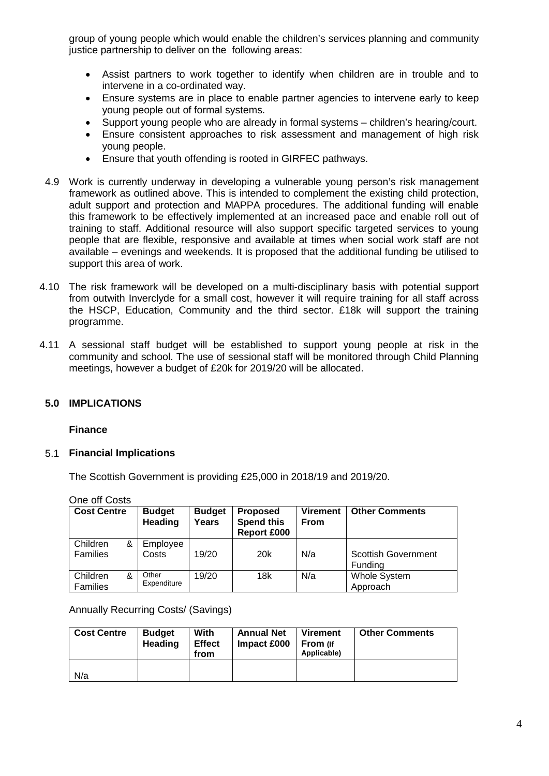group of young people which would enable the children's services planning and community justice partnership to deliver on the following areas:

- Assist partners to work together to identify when children are in trouble and to intervene in a co-ordinated way.
- Ensure systems are in place to enable partner agencies to intervene early to keep young people out of formal systems.
- Support young people who are already in formal systems children's hearing/court.
- Ensure consistent approaches to risk assessment and management of high risk young people.
- Ensure that youth offending is rooted in GIRFEC pathways.
- 4.9 Work is currently underway in developing a vulnerable young person's risk management framework as outlined above. This is intended to complement the existing child protection, adult support and protection and MAPPA procedures. The additional funding will enable this framework to be effectively implemented at an increased pace and enable roll out of training to staff. Additional resource will also support specific targeted services to young people that are flexible, responsive and available at times when social work staff are not available – evenings and weekends. It is proposed that the additional funding be utilised to support this area of work.
- 4.10 The risk framework will be developed on a multi-disciplinary basis with potential support from outwith Inverclyde for a small cost, however it will require training for all staff across the HSCP, Education, Community and the third sector. £18k will support the training programme.
- 4.11 A sessional staff budget will be established to support young people at risk in the community and school. The use of sessional staff will be monitored through Child Planning meetings, however a budget of £20k for 2019/20 will be allocated.

### **5.0 IMPLICATIONS**

### **Finance**

### 5.1 **Financial Implications**

The Scottish Government is providing £25,000 in 2018/19 and 2019/20.

One off Costs

| <b>Cost Centre</b>        | <b>Budget</b><br><b>Heading</b> | <b>Budget</b><br>Years | <b>Proposed</b><br><b>Spend this</b><br><b>Report £000</b> | <b>Virement</b><br><b>From</b> | <b>Other Comments</b>                 |
|---------------------------|---------------------------------|------------------------|------------------------------------------------------------|--------------------------------|---------------------------------------|
| Children<br>&<br>Families | Employee<br>Costs               | 19/20                  | 20 <sub>k</sub>                                            | N/a                            | <b>Scottish Government</b><br>Fundina |
| Children<br>&<br>Families | Other<br>Expenditure            | 19/20                  | 18k                                                        | N/a                            | <b>Whole System</b><br>Approach       |

Annually Recurring Costs/ (Savings)

| <b>Cost Centre</b> | <b>Budget</b><br>Heading | With<br><b>Effect</b><br>from | <b>Annual Net</b><br>Impact £000 | <b>Virement</b><br>From (If<br>Applicable) | <b>Other Comments</b> |
|--------------------|--------------------------|-------------------------------|----------------------------------|--------------------------------------------|-----------------------|
| N/a                |                          |                               |                                  |                                            |                       |